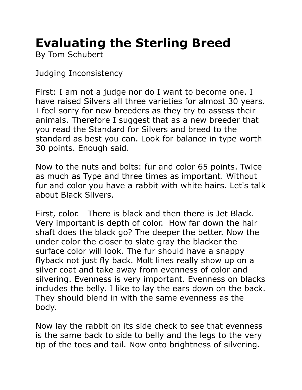## **Evaluating the Sterling Breed**

By Tom Schubert

Judging Inconsistency

First: I am not a judge nor do I want to become one. I have raised Silvers all three varieties for almost 30 years. I feel sorry for new breeders as they try to assess their animals. Therefore I suggest that as a new breeder that you read the Standard for Silvers and breed to the standard as best you can. Look for balance in type worth 30 points. Enough said.

Now to the nuts and bolts: fur and color 65 points. Twice as much as Type and three times as important. Without fur and color you have a rabbit with white hairs. Let's talk about Black Silvers.

First, color. There is black and then there is Jet Black. Very important is depth of color. How far down the hair shaft does the black go? The deeper the better. Now the under color the closer to slate gray the blacker the surface color will look. The fur should have a snappy flyback not just fly back. Molt lines really show up on a silver coat and take away from evenness of color and silvering. Evenness is very important. Evenness on blacks includes the belly. I like to lay the ears down on the back. They should blend in with the same evenness as the body.

Now lay the rabbit on its side check to see that evenness is the same back to side to belly and the legs to the very tip of the toes and tail. Now onto brightness of silvering.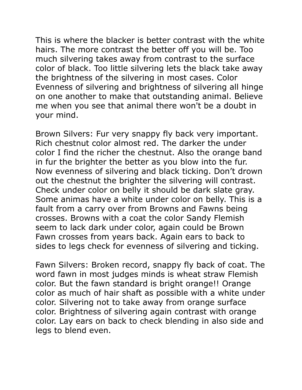This is where the blacker is better contrast with the white hairs. The more contrast the better off you will be. Too much silvering takes away from contrast to the surface color of black. Too little silvering lets the black take away the brightness of the silvering in most cases. Color Evenness of silvering and brightness of silvering all hinge on one another to make that outstanding animal. Believe me when you see that animal there won't be a doubt in your mind.

Brown Silvers: Fur very snappy fly back very important. Rich chestnut color almost red. The darker the under color I find the richer the chestnut. Also the orange band in fur the brighter the better as you blow into the fur. Now evenness of silvering and black ticking. Don't drown out the chestnut the brighter the silvering will contrast. Check under color on belly it should be dark slate gray. Some animas have a white under color on belly. This is a fault from a carry over from Browns and Fawns being crosses. Browns with a coat the color Sandy Flemish seem to lack dark under color, again could be Brown Fawn crosses from years back. Again ears to back to sides to legs check for evenness of silvering and ticking.

Fawn Silvers: Broken record, snappy fly back of coat. The word fawn in most judges minds is wheat straw Flemish color. But the fawn standard is bright orange!! Orange color as much of hair shaft as possible with a white under color. Silvering not to take away from orange surface color. Brightness of silvering again contrast with orange color. Lay ears on back to check blending in also side and legs to blend even.